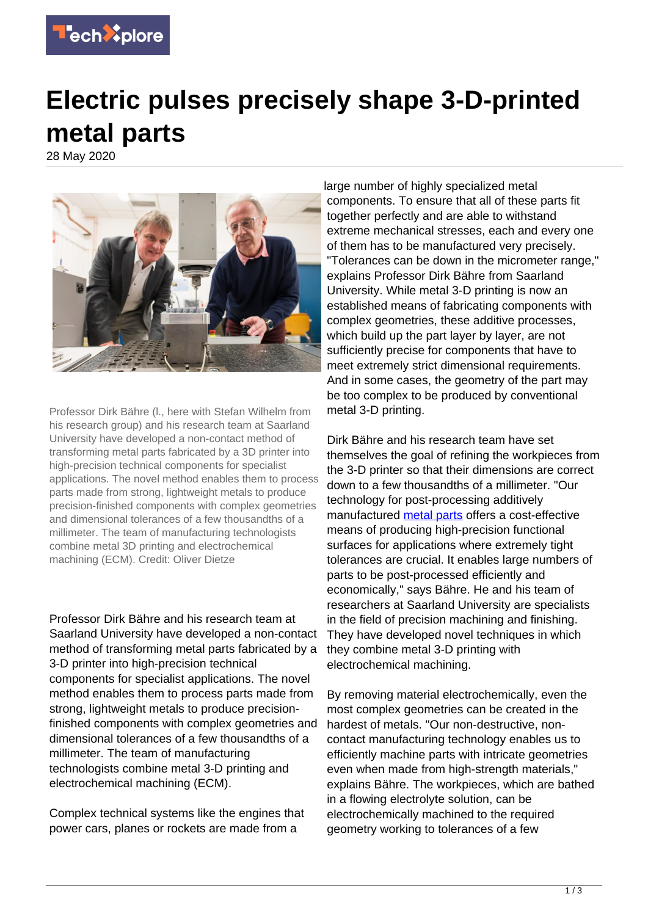

## **Electric pulses precisely shape 3-D-printed metal parts**

28 May 2020



Professor Dirk Bähre (l., here with Stefan Wilhelm from his research group) and his research team at Saarland University have developed a non-contact method of transforming metal parts fabricated by a 3D printer into high-precision technical components for specialist applications. The novel method enables them to process parts made from strong, lightweight metals to produce precision-finished components with complex geometries and dimensional tolerances of a few thousandths of a millimeter. The team of manufacturing technologists combine metal 3D printing and electrochemical machining (ECM). Credit: Oliver Dietze

Professor Dirk Bähre and his research team at Saarland University have developed a non-contact method of transforming metal parts fabricated by a 3-D printer into high-precision technical components for specialist applications. The novel method enables them to process parts made from strong, lightweight metals to produce precisionfinished components with complex geometries and dimensional tolerances of a few thousandths of a millimeter. The team of manufacturing technologists combine metal 3-D printing and electrochemical machining (ECM).

Complex technical systems like the engines that power cars, planes or rockets are made from a

large number of highly specialized metal components. To ensure that all of these parts fit together perfectly and are able to withstand extreme mechanical stresses, each and every one of them has to be manufactured very precisely. "Tolerances can be down in the micrometer range," explains Professor Dirk Bähre from Saarland University. While metal 3-D printing is now an established means of fabricating components with complex geometries, these additive processes, which build up the part layer by layer, are not sufficiently precise for components that have to meet extremely strict dimensional requirements. And in some cases, the geometry of the part may be too complex to be produced by conventional metal 3-D printing.

Dirk Bähre and his research team have set themselves the goal of refining the workpieces from the 3-D printer so that their dimensions are correct down to a few thousandths of a millimeter. "Our technology for post-processing additively manufactured [metal parts](https://techxplore.com/tags/metal+parts/) offers a cost-effective means of producing high-precision functional surfaces for applications where extremely tight tolerances are crucial. It enables large numbers of parts to be post-processed efficiently and economically," says Bähre. He and his team of researchers at Saarland University are specialists in the field of precision machining and finishing. They have developed novel techniques in which they combine metal 3-D printing with electrochemical machining.

By removing material electrochemically, even the most complex geometries can be created in the hardest of metals. "Our non-destructive, noncontact manufacturing technology enables us to efficiently machine parts with intricate geometries even when made from high-strength materials," explains Bähre. The workpieces, which are bathed in a flowing electrolyte solution, can be electrochemically machined to the required geometry working to tolerances of a few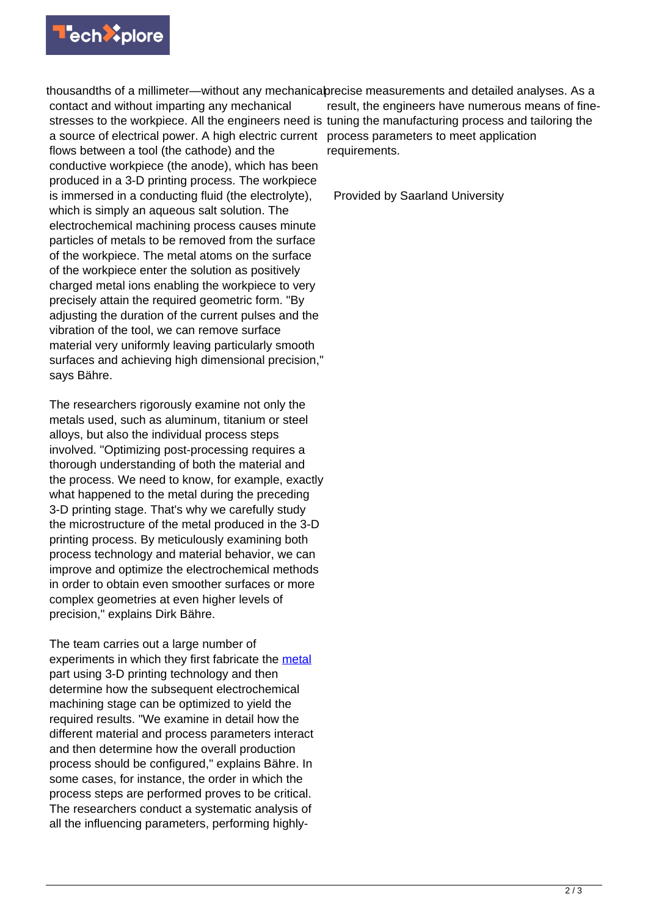

thousandths of a millimeter—without any mechanicabrecise measurements and detailed analyses. As a contact and without imparting any mechanical stresses to the workpiece. All the engineers need is tuning the manufacturing process and tailoring the a source of electrical power. A high electric current flows between a tool (the cathode) and the conductive workpiece (the anode), which has been produced in a 3-D printing process. The workpiece is immersed in a conducting fluid (the electrolyte), which is simply an aqueous salt solution. The electrochemical machining process causes minute particles of metals to be removed from the surface of the workpiece. The metal atoms on the surface of the workpiece enter the solution as positively charged metal ions enabling the workpiece to very precisely attain the required geometric form. "By adjusting the duration of the current pulses and the vibration of the tool, we can remove surface material very uniformly leaving particularly smooth surfaces and achieving high dimensional precision," says Bähre.

The researchers rigorously examine not only the metals used, such as aluminum, titanium or steel alloys, but also the individual process steps involved. "Optimizing post-processing requires a thorough understanding of both the material and the process. We need to know, for example, exactly what happened to the metal during the preceding 3-D printing stage. That's why we carefully study the microstructure of the metal produced in the 3-D printing process. By meticulously examining both process technology and material behavior, we can improve and optimize the electrochemical methods in order to obtain even smoother surfaces or more complex geometries at even higher levels of precision," explains Dirk Bähre.

The team carries out a large number of experiments in which they first fabricate the [metal](https://techxplore.com/tags/metal/) part using 3-D printing technology and then determine how the subsequent electrochemical machining stage can be optimized to yield the required results. "We examine in detail how the different material and process parameters interact and then determine how the overall production process should be configured," explains Bähre. In some cases, for instance, the order in which the process steps are performed proves to be critical. The researchers conduct a systematic analysis of all the influencing parameters, performing highly-

result, the engineers have numerous means of fineprocess parameters to meet application requirements.

Provided by Saarland University